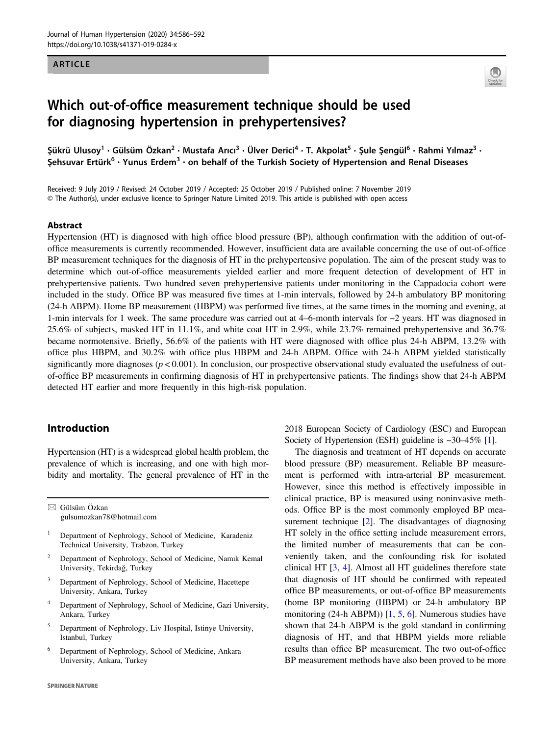## ARTICLE



# Which out-of-office measurement technique should be used for diagnosing hypertension in prehypertensives?

Şükrü Ulusoy<sup>1</sup> • Gülsüm Özkan<sup>2</sup> • Mustafa Arıcı<sup>3</sup> • Ülver Derici<sup>4</sup> • T. Akpolat<sup>5</sup> • Şule Şengül<sup>6</sup> • Rahmi Yılmaz<sup>3</sup> • Şehsuvar Ertürk<sup>6</sup> · Yunus Erdem<sup>3</sup> · on behalf of the Turkish Society of Hypertension and Renal Diseases

Received: 9 July 2019 / Revised: 24 October 2019 / Accepted: 25 October 2019 / Published online: 7 November 2019 © The Author(s), under exclusive licence to Springer Nature Limited 2019. This article is published with open access

#### Abstract

Hypertension (HT) is diagnosed with high office blood pressure (BP), although confirmation with the addition of out-ofoffice measurements is currently recommended. However, insufficient data are available concerning the use of out-of-office BP measurement techniques for the diagnosis of HT in the prehypertensive population. The aim of the present study was to determine which out-of-office measurements yielded earlier and more frequent detection of development of HT in prehypertensive patients. Two hundred seven prehypertensive patients under monitoring in the Cappadocia cohort were included in the study. Office BP was measured five times at 1-min intervals, followed by 24-h ambulatory BP monitoring (24-h ABPM). Home BP measurement (HBPM) was performed five times, at the same times in the morning and evening, at 1-min intervals for 1 week. The same procedure was carried out at  $4-6$ -month intervals for  $\sim$ 2 years. HT was diagnosed in 25.6% of subjects, masked HT in 11.1%, and white coat HT in 2.9%, while 23.7% remained prehypertensive and 36.7% became normotensive. Briefly, 56.6% of the patients with HT were diagnosed with office plus 24-h ABPM, 13.2% with office plus HBPM, and 30.2% with office plus HBPM and 24-h ABPM. Office with 24-h ABPM yielded statistically significantly more diagnoses ( $p < 0.001$ ). In conclusion, our prospective observational study evaluated the usefulness of outof-office BP measurements in confirming diagnosis of HT in prehypertensive patients. The findings show that 24-h ABPM detected HT earlier and more frequently in this high-risk population.

## Introduction

Hypertension (HT) is a widespread global health problem, the prevalence of which is increasing, and one with high morbidity and mortality. The general prevalence of HT in the

 $\boxtimes$  Gülsüm Özkan [gulsumozkan78@hotmail.com](mailto:gulsumozkan78@hotmail.com)

- <sup>1</sup> Department of Nephrology, School of Medicine, Karadeniz Technical University, Trabzon, Turkey
- <sup>2</sup> Department of Nephrology, School of Medicine, Namık Kemal University, Tekirdağ, Turkey
- <sup>3</sup> Department of Nephrology, School of Medicine, Hacettepe University, Ankara, Turkey
- <sup>4</sup> Department of Nephrology, School of Medicine, Gazi University, Ankara, Turkey
- <sup>5</sup> Department of Nephrology, Liv Hospital, Istinye University, Istanbul, Turkey
- <sup>6</sup> Department of Nephrology, School of Medicine, Ankara University, Ankara, Turkey

2018 European Society of Cardiology (ESC) and European Society of Hypertension (ESH) guideline is ~30–45% [\[1\]](#page-5-0).

The diagnosis and treatment of HT depends on accurate blood pressure (BP) measurement. Reliable BP measurement is performed with intra-arterial BP measurement. However, since this method is effectively impossible in clinical practice, BP is measured using noninvasive methods. Office BP is the most commonly employed BP measurement technique [[2\]](#page-6-0). The disadvantages of diagnosing HT solely in the office setting include measurement errors, the limited number of measurements that can be conveniently taken, and the confounding risk for isolated clinical HT [[3,](#page-6-0) [4](#page-6-0)]. Almost all HT guidelines therefore state that diagnosis of HT should be confirmed with repeated office BP measurements, or out-of-office BP measurements (home BP monitoring (HBPM) or 24-h ambulatory BP monitoring  $(24-h ABPM)$  [[1,](#page-5-0) [5,](#page-6-0) [6\]](#page-6-0). Numerous studies have shown that 24-h ABPM is the gold standard in confirming diagnosis of HT, and that HBPM yields more reliable results than office BP measurement. The two out-of-office BP measurement methods have also been proved to be more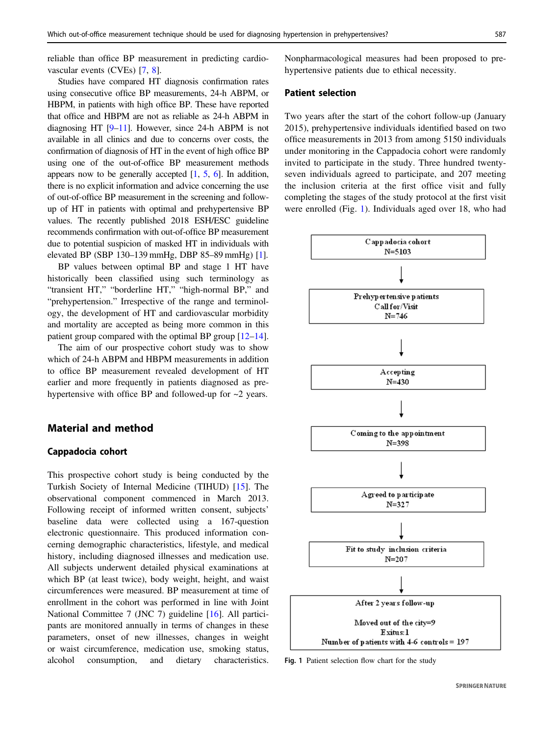reliable than office BP measurement in predicting cardiovascular events (CVEs) [[7](#page-6-0), [8](#page-6-0)].

Studies have compared HT diagnosis confirmation rates using consecutive office BP measurements, 24-h ABPM, or HBPM, in patients with high office BP. These have reported that office and HBPM are not as reliable as 24-h ABPM in diagnosing HT [[9](#page-6-0)–[11](#page-6-0)]. However, since 24-h ABPM is not available in all clinics and due to concerns over costs, the confirmation of diagnosis of HT in the event of high office BP using one of the out-of-office BP measurement methods appears now to be generally accepted  $[1, 5, 6]$  $[1, 5, 6]$  $[1, 5, 6]$  $[1, 5, 6]$  $[1, 5, 6]$  $[1, 5, 6]$  $[1, 5, 6]$ . In addition, there is no explicit information and advice concerning the use of out-of-office BP measurement in the screening and followup of HT in patients with optimal and prehypertensive BP values. The recently published 2018 ESH/ESC guideline recommends confirmation with out-of-office BP measurement due to potential suspicion of masked HT in individuals with elevated BP (SBP 130–139 mmHg, DBP 85–89 mmHg) [\[1\]](#page-5-0).

BP values between optimal BP and stage 1 HT have historically been classified using such terminology as "transient HT," "borderline HT," "high-normal BP," and "prehypertension." Irrespective of the range and terminology, the development of HT and cardiovascular morbidity and mortality are accepted as being more common in this patient group compared with the optimal BP group [\[12](#page-6-0)–[14](#page-6-0)].

The aim of our prospective cohort study was to show which of 24-h ABPM and HBPM measurements in addition to office BP measurement revealed development of HT earlier and more frequently in patients diagnosed as prehypertensive with office BP and followed-up for  $\sim$ 2 years.

## Material and method

## Cappadocia cohort

This prospective cohort study is being conducted by the Turkish Society of Internal Medicine (TIHUD) [[15\]](#page-6-0). The observational component commenced in March 2013. Following receipt of informed written consent, subjects' baseline data were collected using a 167-question electronic questionnaire. This produced information concerning demographic characteristics, lifestyle, and medical history, including diagnosed illnesses and medication use. All subjects underwent detailed physical examinations at which BP (at least twice), body weight, height, and waist circumferences were measured. BP measurement at time of enrollment in the cohort was performed in line with Joint National Committee 7 (JNC 7) guideline [\[16](#page-6-0)]. All participants are monitored annually in terms of changes in these parameters, onset of new illnesses, changes in weight or waist circumference, medication use, smoking status, alcohol consumption, and dietary characteristics. Nonpharmacological measures had been proposed to prehypertensive patients due to ethical necessity.

#### Patient selection

Two years after the start of the cohort follow-up (January 2015), prehypertensive individuals identified based on two office measurements in 2013 from among 5150 individuals under monitoring in the Cappadocia cohort were randomly invited to participate in the study. Three hundred twentyseven individuals agreed to participate, and 207 meeting the inclusion criteria at the first office visit and fully completing the stages of the study protocol at the first visit were enrolled (Fig. 1). Individuals aged over 18, who had



Fig. 1 Patient selection flow chart for the study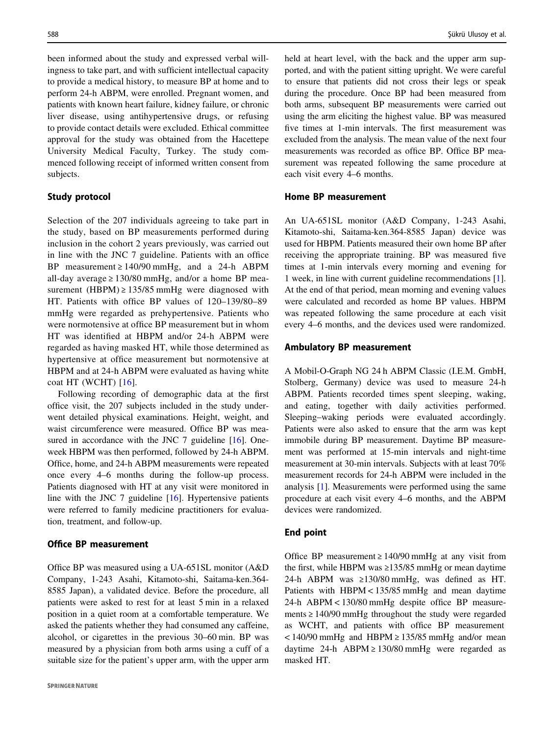been informed about the study and expressed verbal willingness to take part, and with sufficient intellectual capacity to provide a medical history, to measure BP at home and to perform 24-h ABPM, were enrolled. Pregnant women, and patients with known heart failure, kidney failure, or chronic liver disease, using antihypertensive drugs, or refusing to provide contact details were excluded. Ethical committee approval for the study was obtained from the Hacettepe University Medical Faculty, Turkey. The study commenced following receipt of informed written consent from subjects.

# Study protocol

Selection of the 207 individuals agreeing to take part in the study, based on BP measurements performed during inclusion in the cohort 2 years previously, was carried out in line with the JNC 7 guideline. Patients with an office BP measurement  $\geq 140/90$  mmHg, and a 24-h ABPM all-day average  $\geq 130/80$  mmHg, and/or a home BP measurement (HBPM)  $\geq$  135/85 mmHg were diagnosed with HT. Patients with office BP values of 120–139/80–89 mmHg were regarded as prehypertensive. Patients who were normotensive at office BP measurement but in whom HT was identified at HBPM and/or 24-h ABPM were regarded as having masked HT, while those determined as hypertensive at office measurement but normotensive at HBPM and at 24-h ABPM were evaluated as having white coat HT (WCHT) [\[16\]](#page-6-0).

Following recording of demographic data at the first office visit, the 207 subjects included in the study underwent detailed physical examinations. Height, weight, and waist circumference were measured. Office BP was mea-sured in accordance with the JNC 7 guideline [[16\]](#page-6-0). Oneweek HBPM was then performed, followed by 24-h ABPM. Office, home, and 24-h ABPM measurements were repeated once every 4–6 months during the follow-up process. Patients diagnosed with HT at any visit were monitored in line with the JNC 7 guideline [\[16](#page-6-0)]. Hypertensive patients were referred to family medicine practitioners for evaluation, treatment, and follow-up.

## Office BP measurement

Office BP was measured using a UA-651SL monitor (A&D Company, 1-243 Asahi, Kitamoto-shi, Saitama-ken.364- 8585 Japan), a validated device. Before the procedure, all patients were asked to rest for at least 5 min in a relaxed position in a quiet room at a comfortable temperature. We asked the patients whether they had consumed any caffeine, alcohol, or cigarettes in the previous 30–60 min. BP was measured by a physician from both arms using a cuff of a suitable size for the patient's upper arm, with the upper arm held at heart level, with the back and the upper arm supported, and with the patient sitting upright. We were careful to ensure that patients did not cross their legs or speak during the procedure. Once BP had been measured from both arms, subsequent BP measurements were carried out using the arm eliciting the highest value. BP was measured five times at 1-min intervals. The first measurement was excluded from the analysis. The mean value of the next four measurements was recorded as office BP. Office BP measurement was repeated following the same procedure at each visit every 4–6 months.

## Home BP measurement

An UA-651SL monitor (A&D Company, 1-243 Asahi, Kitamoto-shi, Saitama-ken.364-8585 Japan) device was used for HBPM. Patients measured their own home BP after receiving the appropriate training. BP was measured five times at 1-min intervals every morning and evening for 1 week, in line with current guideline recommendations [[1\]](#page-5-0). At the end of that period, mean morning and evening values were calculated and recorded as home BP values. HBPM was repeated following the same procedure at each visit every 4–6 months, and the devices used were randomized.

#### Ambulatory BP measurement

A Mobil-O-Graph NG 24 h ABPM Classic (I.E.M. GmbH, Stolberg, Germany) device was used to measure 24-h ABPM. Patients recorded times spent sleeping, waking, and eating, together with daily activities performed. Sleeping–waking periods were evaluated accordingly. Patients were also asked to ensure that the arm was kept immobile during BP measurement. Daytime BP measurement was performed at 15-min intervals and night-time measurement at 30-min intervals. Subjects with at least 70% measurement records for 24-h ABPM were included in the analysis [\[1](#page-5-0)]. Measurements were performed using the same procedure at each visit every 4–6 months, and the ABPM devices were randomized.

#### End point

Office BP measurement  $\geq 140/90$  mmHg at any visit from the first, while HBPM was ≥135/85 mmHg or mean daytime 24-h ABPM was ≥130/80 mmHg, was defined as HT. Patients with HBPM < 135/85 mmHg and mean daytime 24-h ABPM < 130/80 mmHg despite office BP measurements  $\geq 140/90$  mmHg throughout the study were regarded as WCHT, and patients with office BP measurement  $<$  140/90 mmHg and HBPM  $\ge$  135/85 mmHg and/or mean daytime 24-h ABPM ≥ 130/80 mmHg were regarded as masked HT.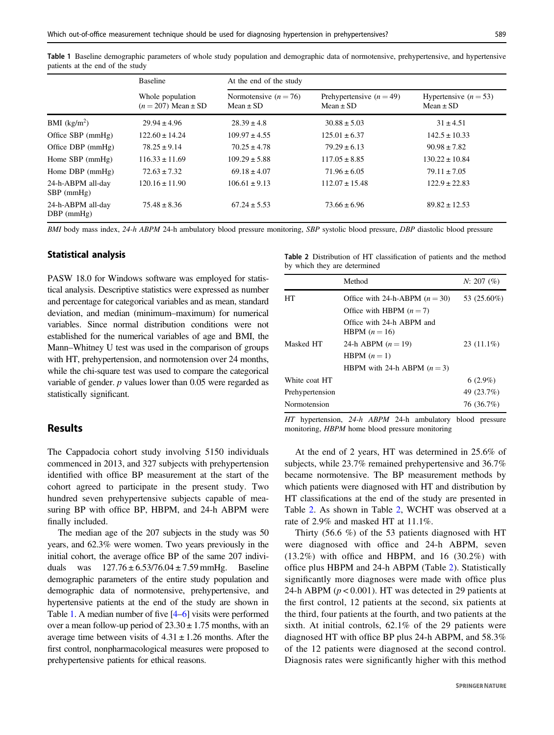|                                   | <b>Baseline</b><br>Whole population<br>$(n = 207)$ Mean $\pm$ SD | At the end of the study                  |                                             |                                          |
|-----------------------------------|------------------------------------------------------------------|------------------------------------------|---------------------------------------------|------------------------------------------|
|                                   |                                                                  | Normotensive $(n = 76)$<br>$Mean \pm SD$ | Prehypertensive $(n = 49)$<br>Mean $\pm$ SD | Hypertensive $(n = 53)$<br>$Mean \pm SD$ |
| BMI $(kg/m2)$                     | $29.94 \pm 4.96$                                                 | $28.39 \pm 4.8$                          | $30.88 \pm 5.03$                            | $31 \pm 4.51$                            |
| Office SBP (mmHg)                 | $122.60 \pm 14.24$                                               | $109.97 \pm 4.55$                        | $125.01 \pm 6.37$                           | $142.5 \pm 10.33$                        |
| Office DBP (mmHg)                 | $78.25 \pm 9.14$                                                 | $70.25 \pm 4.78$                         | $79.29 \pm 6.13$                            | $90.98 \pm 7.82$                         |
| Home SBP (mmHg)                   | $116.33 \pm 11.69$                                               | $109.29 \pm 5.88$                        | $117.05 \pm 8.85$                           | $130.22 \pm 10.84$                       |
| Home $DBP$ (mmHg)                 | $72.63 \pm 7.32$                                                 | $69.18 \pm 4.07$                         | $71.96 \pm 6.05$                            | $79.11 \pm 7.05$                         |
| 24-h-ABPM all-day<br>$SBP$ (mmHg) | $120.16 \pm 11.90$                                               | $106.61 \pm 9.13$                        | $112.07 \pm 15.48$                          | $122.9 \pm 22.83$                        |
| 24-h-ABPM all-day<br>$DBP$ (mmHg) | $75.48 \pm 8.36$                                                 | $67.24 \pm 5.53$                         | $73.66 \pm 6.96$                            | $89.82 \pm 12.53$                        |

Table 1 Baseline demographic parameters of whole study population and demographic data of normotensive, prehypertensive, and hypertensive patients at the end of the study

BMI body mass index, 24-h ABPM 24-h ambulatory blood pressure monitoring, SBP systolic blood pressure, DBP diastolic blood pressure

#### Statistical analysis

PASW 18.0 for Windows software was employed for statistical analysis. Descriptive statistics were expressed as number and percentage for categorical variables and as mean, standard deviation, and median (minimum–maximum) for numerical variables. Since normal distribution conditions were not established for the numerical variables of age and BMI, the Mann–Whitney U test was used in the comparison of groups with HT, prehypertension, and normotension over 24 months, while the chi-square test was used to compare the categorical variable of gender.  $p$  values lower than 0.05 were regarded as statistically significant.

## Results

The Cappadocia cohort study involving 5150 individuals commenced in 2013, and 327 subjects with prehypertension identified with office BP measurement at the start of the cohort agreed to participate in the present study. Two hundred seven prehypertensive subjects capable of measuring BP with office BP, HBPM, and 24-h ABPM were finally included.

The median age of the 207 subjects in the study was 50 years, and 62.3% were women. Two years previously in the initial cohort, the average office BP of the same 207 individuals was  $127.76 \pm 6.53/76.04 \pm 7.59$  mmHg. Baseline demographic parameters of the entire study population and demographic data of normotensive, prehypertensive, and hypertensive patients at the end of the study are shown in Table 1. A median number of five [\[4](#page-6-0)–[6\]](#page-6-0) visits were performed over a mean follow-up period of  $23.30 \pm 1.75$  months, with an average time between visits of  $4.31 \pm 1.26$  months. After the first control, nonpharmacological measures were proposed to prehypertensive patients for ethical reasons.

Table 2 Distribution of HT classification of patients and the method by which they are determined

|                 | Method                                     | N: 207 (%)   |
|-----------------|--------------------------------------------|--------------|
| HТ              | Office with 24-h-ABPM $(n = 30)$           | 53 (25.60%)  |
|                 | Office with HBPM $(n = 7)$                 |              |
|                 | Office with 24-h ABPM and<br>HBPM $(n=16)$ |              |
| Masked HT       | 24-h ABPM $(n = 19)$                       | $23(11.1\%)$ |
|                 | HBPM $(n=1)$                               |              |
|                 | HBPM with 24-h ABPM $(n=3)$                |              |
| White coat HT   |                                            | $6(2.9\%)$   |
| Prehypertension |                                            | 49 (23.7%)   |
| Normotension    |                                            | 76 (36.7%)   |

HT hypertension, 24-h ABPM 24-h ambulatory blood pressure monitoring, HBPM home blood pressure monitoring

At the end of 2 years, HT was determined in 25.6% of subjects, while 23.7% remained prehypertensive and 36.7% became normotensive. The BP measurement methods by which patients were diagnosed with HT and distribution by HT classifications at the end of the study are presented in Table 2. As shown in Table 2, WCHT was observed at a rate of 2.9% and masked HT at 11.1%.

Thirty (56.6 %) of the 53 patients diagnosed with HT were diagnosed with office and 24-h ABPM, seven  $(13.2\%)$  with office and HBPM, and 16  $(30.2\%)$  with office plus HBPM and 24-h ABPM (Table 2). Statistically significantly more diagnoses were made with office plus 24-h ABPM ( $p < 0.001$ ). HT was detected in 29 patients at the first control, 12 patients at the second, six patients at the third, four patients at the fourth, and two patients at the sixth. At initial controls, 62.1% of the 29 patients were diagnosed HT with office BP plus 24-h ABPM, and 58.3% of the 12 patients were diagnosed at the second control. Diagnosis rates were significantly higher with this method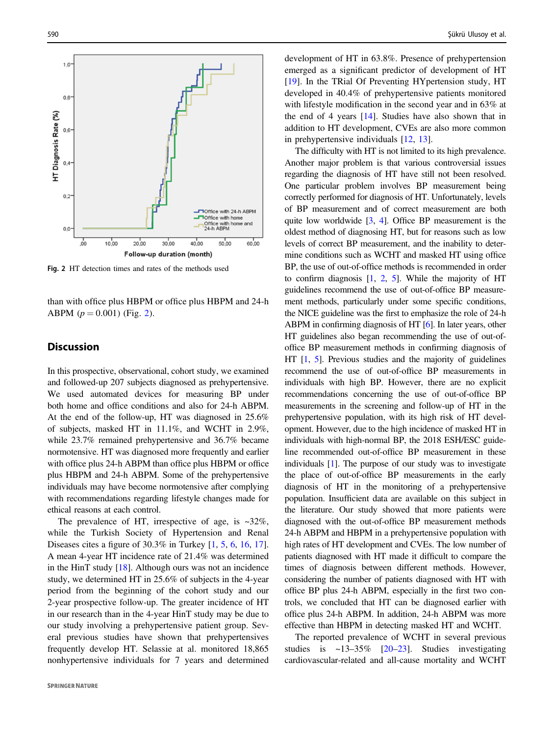

Fig. 2 HT detection times and rates of the methods used

than with office plus HBPM or office plus HBPM and 24-h ABPM  $(p = 0.001)$  (Fig. 2).

## **Discussion**

In this prospective, observational, cohort study, we examined and followed-up 207 subjects diagnosed as prehypertensive. We used automated devices for measuring BP under both home and office conditions and also for 24-h ABPM. At the end of the follow-up, HT was diagnosed in 25.6% of subjects, masked HT in 11.1%, and WCHT in 2.9%, while 23.7% remained prehypertensive and 36.7% became normotensive. HT was diagnosed more frequently and earlier with office plus 24-h ABPM than office plus HBPM or office plus HBPM and 24-h ABPM. Some of the prehypertensive individuals may have become normotensive after complying with recommendations regarding lifestyle changes made for ethical reasons at each control.

The prevalence of HT, irrespective of age, is  $\approx 32\%$ , while the Turkish Society of Hypertension and Renal Diseases cites a figure of 30.3% in Turkey [\[1](#page-5-0), [5](#page-6-0), [6,](#page-6-0) [16](#page-6-0), [17](#page-6-0)]. A mean 4-year HT incidence rate of 21.4% was determined in the HinT study [\[18](#page-6-0)]. Although ours was not an incidence study, we determined HT in 25.6% of subjects in the 4-year period from the beginning of the cohort study and our 2-year prospective follow-up. The greater incidence of HT in our research than in the 4-year HinT study may be due to our study involving a prehypertensive patient group. Several previous studies have shown that prehypertensives frequently develop HT. Selassie at al. monitored 18,865 nonhypertensive individuals for 7 years and determined development of HT in 63.8%. Presence of prehypertension emerged as a significant predictor of development of HT [\[19](#page-6-0)]. In the TRial Of Preventing HYpertension study, HT developed in 40.4% of prehypertensive patients monitored with lifestyle modification in the second year and in 63% at the end of 4 years [[14\]](#page-6-0). Studies have also shown that in addition to HT development, CVEs are also more common in prehypertensive individuals [\[12](#page-6-0), [13\]](#page-6-0).

The difficulty with HT is not limited to its high prevalence. Another major problem is that various controversial issues regarding the diagnosis of HT have still not been resolved. One particular problem involves BP measurement being correctly performed for diagnosis of HT. Unfortunately, levels of BP measurement and of correct measurement are both quite low worldwide  $[3, 4]$  $[3, 4]$  $[3, 4]$ . Office BP measurement is the oldest method of diagnosing HT, but for reasons such as low levels of correct BP measurement, and the inability to determine conditions such as WCHT and masked HT using office BP, the use of out-of-office methods is recommended in order to confirm diagnosis [\[1](#page-5-0), [2](#page-6-0), [5](#page-6-0)]. While the majority of HT guidelines recommend the use of out-of-office BP measurement methods, particularly under some specific conditions, the NICE guideline was the first to emphasize the role of 24-h ABPM in confirming diagnosis of HT [[6\]](#page-6-0). In later years, other HT guidelines also began recommending the use of out-ofoffice BP measurement methods in confirming diagnosis of HT [[1](#page-5-0), [5](#page-6-0)]. Previous studies and the majority of guidelines recommend the use of out-of-office BP measurements in individuals with high BP. However, there are no explicit recommendations concerning the use of out-of-office BP measurements in the screening and follow-up of HT in the prehypertensive population, with its high risk of HT development. However, due to the high incidence of masked HT in individuals with high-normal BP, the 2018 ESH/ESC guideline recommended out-of-office BP measurement in these individuals [\[1\]](#page-5-0). The purpose of our study was to investigate the place of out-of-office BP measurements in the early diagnosis of HT in the monitoring of a prehypertensive population. Insufficient data are available on this subject in the literature. Our study showed that more patients were diagnosed with the out-of-office BP measurement methods 24-h ABPM and HBPM in a prehypertensive population with high rates of HT development and CVEs. The low number of patients diagnosed with HT made it difficult to compare the times of diagnosis between different methods. However, considering the number of patients diagnosed with HT with office BP plus 24-h ABPM, especially in the first two controls, we concluded that HT can be diagnosed earlier with office plus 24-h ABPM. In addition, 24-h ABPM was more effective than HBPM in detecting masked HT and WCHT.

The reported prevalence of WCHT in several previous studies is  $\sim$ 13–35% [[20](#page-6-0)–[23\]](#page-6-0). Studies investigating cardiovascular-related and all-cause mortality and WCHT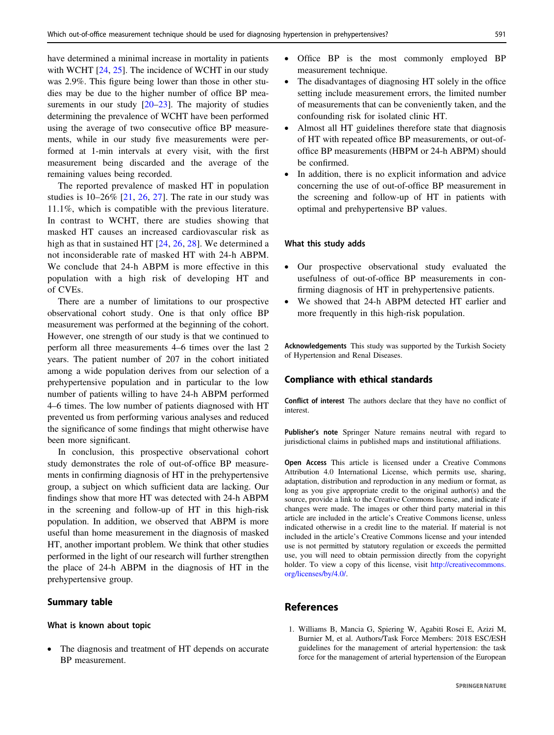<span id="page-5-0"></span>have determined a minimal increase in mortality in patients with WCHT  $[24, 25]$  $[24, 25]$  $[24, 25]$ . The incidence of WCHT in our study was 2.9%. This figure being lower than those in other studies may be due to the higher number of office BP measurements in our study  $[20-23]$  $[20-23]$  $[20-23]$  $[20-23]$ . The majority of studies determining the prevalence of WCHT have been performed using the average of two consecutive office BP measurements, while in our study five measurements were performed at 1-min intervals at every visit, with the first measurement being discarded and the average of the remaining values being recorded.

The reported prevalence of masked HT in population studies is  $10-26\%$  [[21,](#page-6-0) [26,](#page-6-0) [27\]](#page-6-0). The rate in our study was 11.1%, which is compatible with the previous literature. In contrast to WCHT, there are studies showing that masked HT causes an increased cardiovascular risk as high as that in sustained HT [[24,](#page-6-0) [26](#page-6-0), [28\]](#page-6-0). We determined a not inconsiderable rate of masked HT with 24-h ABPM. We conclude that 24-h ABPM is more effective in this population with a high risk of developing HT and of CVEs.

There are a number of limitations to our prospective observational cohort study. One is that only office BP measurement was performed at the beginning of the cohort. However, one strength of our study is that we continued to perform all three measurements 4–6 times over the last 2 years. The patient number of 207 in the cohort initiated among a wide population derives from our selection of a prehypertensive population and in particular to the low number of patients willing to have 24-h ABPM performed 4–6 times. The low number of patients diagnosed with HT prevented us from performing various analyses and reduced the significance of some findings that might otherwise have been more significant.

In conclusion, this prospective observational cohort study demonstrates the role of out-of-office BP measurements in confirming diagnosis of HT in the prehypertensive group, a subject on which sufficient data are lacking. Our findings show that more HT was detected with 24-h ABPM in the screening and follow-up of HT in this high-risk population. In addition, we observed that ABPM is more useful than home measurement in the diagnosis of masked HT, another important problem. We think that other studies performed in the light of our research will further strengthen the place of 24-h ABPM in the diagnosis of HT in the prehypertensive group.

## Summary table

## What is known about topic

The diagnosis and treatment of HT depends on accurate BP measurement.

- Office BP is the most commonly employed BP measurement technique.
- The disadvantages of diagnosing HT solely in the office setting include measurement errors, the limited number of measurements that can be conveniently taken, and the confounding risk for isolated clinic HT.
- Almost all HT guidelines therefore state that diagnosis of HT with repeated office BP measurements, or out-ofoffice BP measurements (HBPM or 24-h ABPM) should be confirmed.
- In addition, there is no explicit information and advice concerning the use of out-of-office BP measurement in the screening and follow-up of HT in patients with optimal and prehypertensive BP values.

#### What this study adds

- Our prospective observational study evaluated the usefulness of out-of-office BP measurements in confirming diagnosis of HT in prehypertensive patients.
- We showed that 24-h ABPM detected HT earlier and more frequently in this high-risk population.

Acknowledgements This study was supported by the Turkish Society of Hypertension and Renal Diseases.

# Compliance with ethical standards

Conflict of interest The authors declare that they have no conflict of interest.

Publisher's note Springer Nature remains neutral with regard to jurisdictional claims in published maps and institutional affiliations.

Open Access This article is licensed under a Creative Commons Attribution 4.0 International License, which permits use, sharing, adaptation, distribution and reproduction in any medium or format, as long as you give appropriate credit to the original author(s) and the source, provide a link to the Creative Commons license, and indicate if changes were made. The images or other third party material in this article are included in the article's Creative Commons license, unless indicated otherwise in a credit line to the material. If material is not included in the article's Creative Commons license and your intended use is not permitted by statutory regulation or exceeds the permitted use, you will need to obtain permission directly from the copyright holder. To view a copy of this license, visit [http://creativecommons.](http://creativecommons.org/licenses/by/4.0/) [org/licenses/by/4.0/](http://creativecommons.org/licenses/by/4.0/).

# References

1. Williams B, Mancia G, Spiering W, Agabiti Rosei E, Azizi M, Burnier M, et al. Authors/Task Force Members: 2018 ESC/ESH guidelines for the management of arterial hypertension: the task force for the management of arterial hypertension of the European